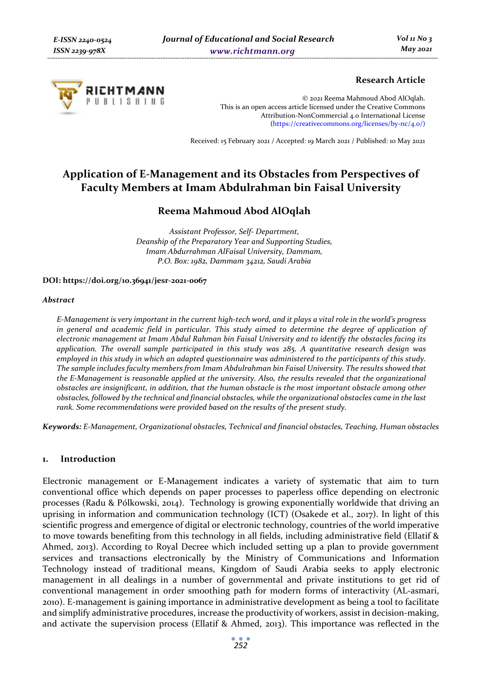

# **Research Article**

© 2021 Reema Mahmoud Abod AlOqlah. This is an open access article licensed under the Creative Commons Attribution-NonCommercial 4.0 International License (https://creativecommons.org/licenses/by-nc/4.0/)

Received: 15 February 2021 / Accepted: 19 March 2021 / Published: 10 May 2021

# **Application of E-Management and its Obstacles from Perspectives of Faculty Members at Imam Abdulrahman bin Faisal University**

# **Reema Mahmoud Abod AlOqlah**

*Assistant Professor, Self- Department, Deanship of the Preparatory Year and Supporting Studies, Imam Abdurrahman AlFaisal University, Dammam, P.O. Box: 1982, Dammam 34212, Saudi Arabia* 

#### **DOI: https://doi.org/10.36941/jesr-2021-0067**

#### *Abstract*

*E-Management is very important in the current high-tech word, and it plays a vital role in the world's progress in general and academic field in particular. This study aimed to determine the degree of application of electronic management at Imam Abdul Rahman bin Faisal University and to identify the obstacles facing its application. The overall sample participated in this study was 285. A quantitative research design was employed in this study in which an adapted questionnaire was administered to the participants of this study. The sample includes faculty members from Imam Abdulrahman bin Faisal University. The results showed that the E-Management is reasonable applied at the university. Also, the results revealed that the organizational obstacles are insignificant, in addition, that the human obstacle is the most important obstacle among other obstacles, followed by the technical and financial obstacles, while the organizational obstacles came in the last rank. Some recommendations were provided based on the results of the present study.* 

*Keywords: E-Management, Organizational obstacles, Technical and financial obstacles, Teaching, Human obstacles* 

# **1. Introduction**

Electronic management or E-Management indicates a variety of systematic that aim to turn conventional office which depends on paper processes to paperless office depending on electronic processes (Radu & Pólkowski, 2014). Technology is growing exponentially worldwide that driving an uprising in information and communication technology (ICT) (Osakede et al., 2017). In light of this scientific progress and emergence of digital or electronic technology, countries of the world imperative to move towards benefiting from this technology in all fields, including administrative field (Ellatif & Ahmed, 2013). According to Royal Decree which included setting up a plan to provide government services and transactions electronically by the Ministry of Communications and Information Technology instead of traditional means, Kingdom of Saudi Arabia seeks to apply electronic management in all dealings in a number of governmental and private institutions to get rid of conventional management in order smoothing path for modern forms of interactivity (AL-asmari, 2010). E-management is gaining importance in administrative development as being a tool to facilitate and simplify administrative procedures, increase the productivity of workers, assist in decision-making, and activate the supervision process (Ellatif & Ahmed, 2013). This importance was reflected in the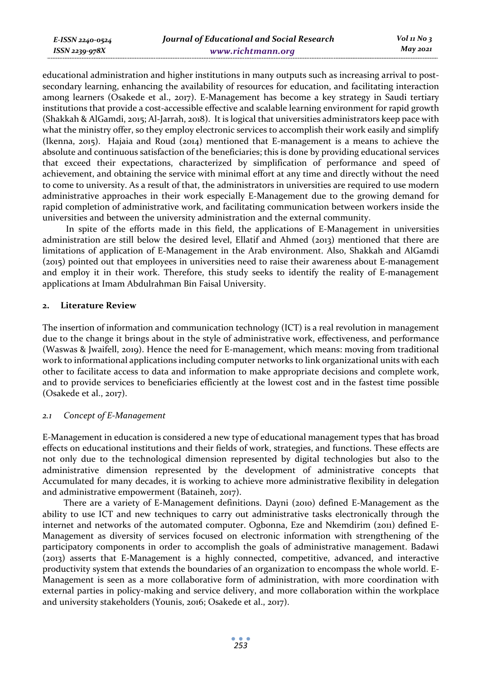educational administration and higher institutions in many outputs such as increasing arrival to postsecondary learning, enhancing the availability of resources for education, and facilitating interaction among learners (Osakede et al., 2017). E-Management has become a key strategy in Saudi tertiary institutions that provide a cost-accessible effective and scalable learning environment for rapid growth (Shakkah & AlGamdi, 2015; Al-Jarrah, 2018). It is logical that universities administrators keep pace with what the ministry offer, so they employ electronic services to accomplish their work easily and simplify (Ikenna, 2015). Hajaia and Roud (2014) mentioned that E-management is a means to achieve the absolute and continuous satisfaction of the beneficiaries; this is done by providing educational services that exceed their expectations, characterized by simplification of performance and speed of achievement, and obtaining the service with minimal effort at any time and directly without the need to come to university. As a result of that, the administrators in universities are required to use modern administrative approaches in their work especially E-Management due to the growing demand for rapid completion of administrative work, and facilitating communication between workers inside the universities and between the university administration and the external community.

 In spite of the efforts made in this field, the applications of E-Management in universities administration are still below the desired level, Ellatif and Ahmed (2013) mentioned that there are limitations of application of E-Management in the Arab environment. Also, Shakkah and AlGamdi (2015) pointed out that employees in universities need to raise their awareness about E-management and employ it in their work. Therefore, this study seeks to identify the reality of E-management applications at Imam Abdulrahman Bin Faisal University.

#### **2. Literature Review**

*E-ISSN 2240-0524 ISSN 2239-978X*

The insertion of information and communication technology (ICT) is a real revolution in management due to the change it brings about in the style of administrative work, effectiveness, and performance (Waswas & Jwaifell, 2019). Hence the need for E-management, which means: moving from traditional work to informational applications including computer networks to link organizational units with each other to facilitate access to data and information to make appropriate decisions and complete work, and to provide services to beneficiaries efficiently at the lowest cost and in the fastest time possible (Osakede et al., 2017).

# *2.1 Concept of E-Management*

E-Management in education is considered a new type of educational management types that has broad effects on educational institutions and their fields of work, strategies, and functions. These effects are not only due to the technological dimension represented by digital technologies but also to the administrative dimension represented by the development of administrative concepts that Accumulated for many decades, it is working to achieve more administrative flexibility in delegation and administrative empowerment (Bataineh, 2017).

There are a variety of E-Management definitions. Dayni (2010) defined E-Management as the ability to use ICT and new techniques to carry out administrative tasks electronically through the internet and networks of the automated computer. Ogbonna, Eze and Nkemdirim (2011) defined E-Management as diversity of services focused on electronic information with strengthening of the participatory components in order to accomplish the goals of administrative management. Badawi (2013) asserts that E-Management is a highly connected, competitive, advanced, and interactive productivity system that extends the boundaries of an organization to encompass the whole world. E-Management is seen as a more collaborative form of administration, with more coordination with external parties in policy-making and service delivery, and more collaboration within the workplace and university stakeholders (Younis, 2016; Osakede et al., 2017).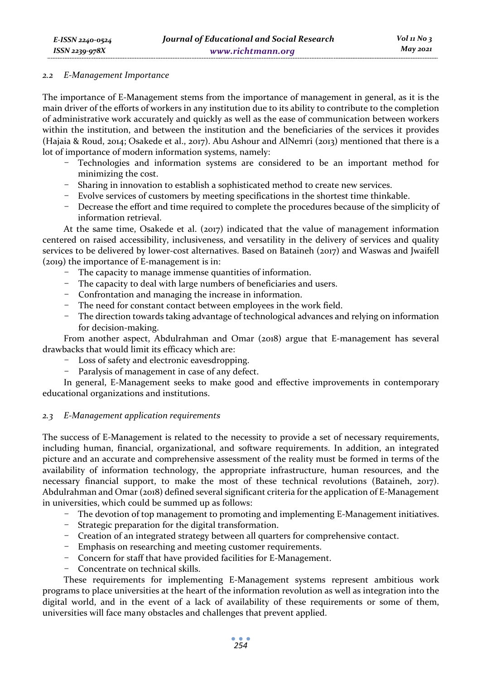#### *2.2 E-Management Importance*

The importance of E-Management stems from the importance of management in general, as it is the main driver of the efforts of workers in any institution due to its ability to contribute to the completion of administrative work accurately and quickly as well as the ease of communication between workers within the institution, and between the institution and the beneficiaries of the services it provides (Hajaia & Roud, 2014; Osakede et al., 2017). Abu Ashour and AlNemri (2013) mentioned that there is a lot of importance of modern information systems, namely:

- Technologies and information systems are considered to be an important method for minimizing the cost.
- Sharing in innovation to establish a sophisticated method to create new services.
- Evolve services of customers by meeting specifications in the shortest time thinkable.
- Decrease the effort and time required to complete the procedures because of the simplicity of information retrieval.

At the same time, Osakede et al.  $(2017)$  indicated that the value of management information centered on raised accessibility, inclusiveness, and versatility in the delivery of services and quality services to be delivered by lower-cost alternatives. Based on Bataineh (2017) and Waswas and Jwaifell (2019) the importance of E-management is in:

- The capacity to manage immense quantities of information.
- The capacity to deal with large numbers of beneficiaries and users.
- Confrontation and managing the increase in information.
- The need for constant contact between employees in the work field.
- The direction towards taking advantage of technological advances and relying on information for decision-making.

From another aspect, Abdulrahman and Omar (2018) argue that E-management has several drawbacks that would limit its efficacy which are:

- Loss of safety and electronic eavesdropping.
- Paralysis of management in case of any defect.

In general, E-Management seeks to make good and effective improvements in contemporary educational organizations and institutions.

# *2.3 E-Management application requirements*

The success of E-Management is related to the necessity to provide a set of necessary requirements, including human, financial, organizational, and software requirements. In addition, an integrated picture and an accurate and comprehensive assessment of the reality must be formed in terms of the availability of information technology, the appropriate infrastructure, human resources, and the necessary financial support, to make the most of these technical revolutions (Bataineh, 2017). Abdulrahman and Omar (2018) defined several significant criteria for the application of E-Management in universities, which could be summed up as follows:

- The devotion of top management to promoting and implementing E-Management initiatives.
- Strategic preparation for the digital transformation.
- Creation of an integrated strategy between all quarters for comprehensive contact.
- Emphasis on researching and meeting customer requirements.
- Concern for staff that have provided facilities for E-Management.
- Concentrate on technical skills.

These requirements for implementing E-Management systems represent ambitious work programs to place universities at the heart of the information revolution as well as integration into the digital world, and in the event of a lack of availability of these requirements or some of them, universities will face many obstacles and challenges that prevent applied.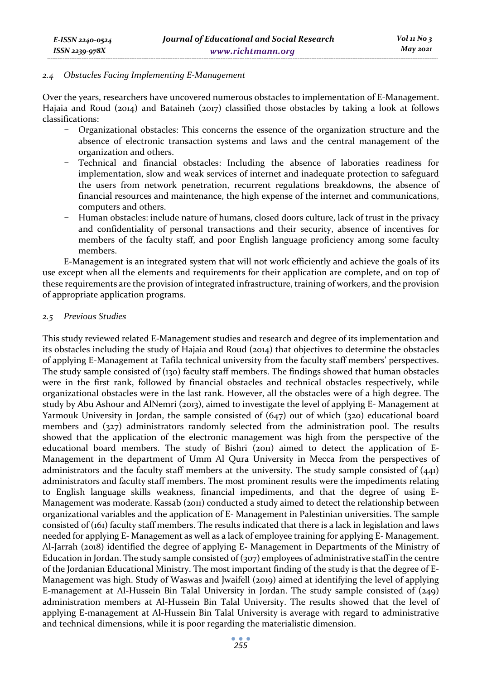#### *2.4 Obstacles Facing Implementing E-Management*

Over the years, researchers have uncovered numerous obstacles to implementation of E-Management. Hajaia and Roud (2014) and Bataineh (2017) classified those obstacles by taking a look at follows classifications:

- Organizational obstacles: This concerns the essence of the organization structure and the absence of electronic transaction systems and laws and the central management of the organization and others.
- Technical and financial obstacles: Including the absence of laboraties readiness for implementation, slow and weak services of internet and inadequate protection to safeguard the users from network penetration, recurrent regulations breakdowns, the absence of financial resources and maintenance, the high expense of the internet and communications, computers and others.
- Human obstacles: include nature of humans, closed doors culture, lack of trust in the privacy and confidentiality of personal transactions and their security, absence of incentives for members of the faculty staff, and poor English language proficiency among some faculty members.

E-Management is an integrated system that will not work efficiently and achieve the goals of its use except when all the elements and requirements for their application are complete, and on top of these requirements are the provision of integrated infrastructure, training of workers, and the provision of appropriate application programs.

#### *2.5 Previous Studies*

This study reviewed related E-Management studies and research and degree of its implementation and its obstacles including the study of Hajaia and Roud (2014) that objectives to determine the obstacles of applying E-Management at Tafila technical university from the faculty staff members' perspectives. The study sample consisted of (130) faculty staff members. The findings showed that human obstacles were in the first rank, followed by financial obstacles and technical obstacles respectively, while organizational obstacles were in the last rank. However, all the obstacles were of a high degree. The study by Abu Ashour and AlNemri (2013), aimed to investigate the level of applying E- Management at Yarmouk University in Jordan, the sample consisted of (647) out of which (320) educational board members and (327) administrators randomly selected from the administration pool. The results showed that the application of the electronic management was high from the perspective of the educational board members. The study of Bishri (2011) aimed to detect the application of E-Management in the department of Umm Al Qura University in Mecca from the perspectives of administrators and the faculty staff members at the university. The study sample consisted of (441) administrators and faculty staff members. The most prominent results were the impediments relating to English language skills weakness, financial impediments, and that the degree of using E-Management was moderate. Kassab (2011) conducted a study aimed to detect the relationship between organizational variables and the application of E- Management in Palestinian universities. The sample consisted of (161) faculty staff members. The results indicated that there is a lack in legislation and laws needed for applying E- Management as well as a lack of employee training for applying E- Management. Al-Jarrah (2018) identified the degree of applying E- Management in Departments of the Ministry of Education in Jordan. The study sample consisted of (307) employees of administrative staff in the centre of the Jordanian Educational Ministry. The most important finding of the study is that the degree of E-Management was high. Study of Waswas and Jwaifell (2019) aimed at identifying the level of applying E-management at Al-Hussein Bin Talal University in Jordan. The study sample consisted of  $(249)$ administration members at Al-Hussein Bin Talal University. The results showed that the level of applying E-management at Al-Hussein Bin Talal University is average with regard to administrative and technical dimensions, while it is poor regarding the materialistic dimension.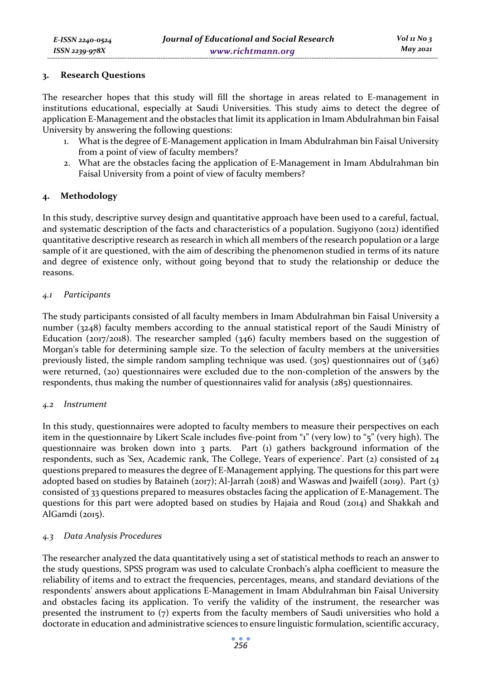#### **3. Research Questions**

The researcher hopes that this study will fill the shortage in areas related to E-management in institutions educational, especially at Saudi Universities. This study aims to detect the degree of application E-Management and the obstacles that limit its application in Imam Abdulrahman bin Faisal University by answering the following questions:

- 1. What is the degree of E-Management application in Imam Abdulrahman bin Faisal University from a point of view of faculty members?
- 2. What are the obstacles facing the application of E-Management in Imam Abdulrahman bin Faisal University from a point of view of faculty members?

# **4. Methodology**

In this study, descriptive survey design and quantitative approach have been used to a careful, factual, and systematic description of the facts and characteristics of a population. Sugiyono (2012) identified quantitative descriptive research as research in which all members of the research population or a large sample of it are questioned, with the aim of describing the phenomenon studied in terms of its nature and degree of existence only, without going beyond that to study the relationship or deduce the reasons.

# *4.1 Participants*

The study participants consisted of all faculty members in Imam Abdulrahman bin Faisal University a number (3248) faculty members according to the annual statistical report of the Saudi Ministry of Education ( $2017/2018$ ). The researcher sampled ( $346$ ) faculty members based on the suggestion of Morgan's table for determining sample size. To the selection of faculty members at the universities previously listed, the simple random sampling technique was used.  $(305)$  questionnaires out of  $(346)$ were returned, (20) questionnaires were excluded due to the non-completion of the answers by the respondents, thus making the number of questionnaires valid for analysis (285) questionnaires.

# *4.2 Instrument*

In this study, questionnaires were adopted to faculty members to measure their perspectives on each item in the questionnaire by Likert Scale includes five-point from "1" (very low) to "5" (very high). The questionnaire was broken down into 3 parts. Part (1) gathers background information of the respondents, such as 'Sex, Academic rank, The College, Years of experience'. Part (2) consisted of 24 questions prepared to measures the degree of E-Management applying. The questions for this part were adopted based on studies by Bataineh (2017); Al-Jarrah (2018) and Waswas and Jwaifell (2019). Part (3) consisted of 33 questions prepared to measures obstacles facing the application of E-Management. The questions for this part were adopted based on studies by Hajaia and Roud (2014) and Shakkah and AlGamdi (2015).

# *4.3 Data Analysis Procedures*

The researcher analyzed the data quantitatively using a set of statistical methods to reach an answer to the study questions, SPSS program was used to calculate Cronbach's alpha coefficient to measure the reliability of items and to extract the frequencies, percentages, means, and standard deviations of the respondents' answers about applications E-Management in Imam Abdulrahman bin Faisal University and obstacles facing its application. To verify the validity of the instrument, the researcher was presented the instrument to (7) experts from the faculty members of Saudi universities who hold a doctorate in education and administrative sciences to ensure linguistic formulation, scientific accuracy,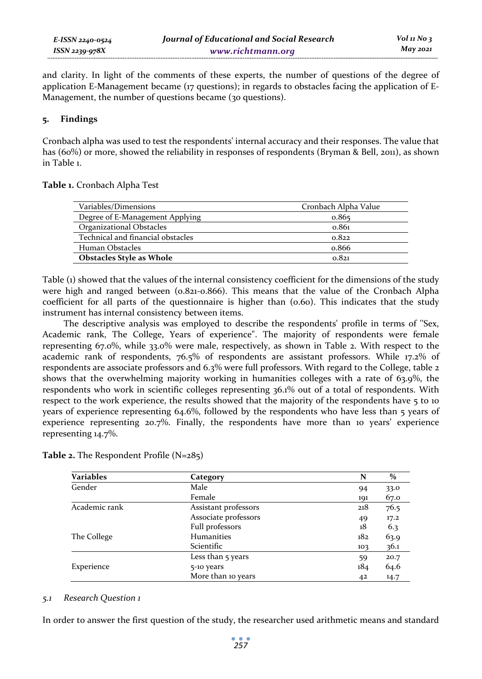and clarity. In light of the comments of these experts, the number of questions of the degree of application E-Management became (17 questions); in regards to obstacles facing the application of E-Management, the number of questions became (30 questions).

# **5. Findings**

Cronbach alpha was used to test the respondents' internal accuracy and their responses. The value that has (60%) or more, showed the reliability in responses of respondents (Bryman & Bell, 2011), as shown in Table 1.

# **Table 1.** Cronbach Alpha Test

| Variables/Dimensions              | Cronbach Alpha Value |
|-----------------------------------|----------------------|
| Degree of E-Management Applying   | 0.865                |
| <b>Organizational Obstacles</b>   | 0.861                |
| Technical and financial obstacles | 0.822                |
| Human Obstacles                   | 0.866                |
| <b>Obstacles Style as Whole</b>   | 0.821                |

Table (1) showed that the values of the internal consistency coefficient for the dimensions of the study were high and ranged between (0.821-0.866). This means that the value of the Cronbach Alpha coefficient for all parts of the questionnaire is higher than (0.60). This indicates that the study instrument has internal consistency between items.

The descriptive analysis was employed to describe the respondents' profile in terms of ''Sex, Academic rank, The College, Years of experience". The majority of respondents were female representing 67.0%, while 33.0% were male, respectively, as shown in Table 2. With respect to the academic rank of respondents, 76.5% of respondents are assistant professors. While 17.2% of respondents are associate professors and 6.3% were full professors. With regard to the College, table 2 shows that the overwhelming majority working in humanities colleges with a rate of 63.9%, the respondents who work in scientific colleges representing 36.1% out of a total of respondents. With respect to the work experience, the results showed that the majority of the respondents have 5 to 10 years of experience representing 64.6%, followed by the respondents who have less than 5 years of experience representing 20.7%. Finally, the respondents have more than 10 years' experience representing 14.7%.

| Variables     | Category             | N   | $\frac{0}{0}$ |
|---------------|----------------------|-----|---------------|
| Gender        | Male                 | 94  | 33.0          |
|               | Female               | 191 | 67.0          |
| Academic rank | Assistant professors | 218 | 76.5          |
|               | Associate professors | 49  | 17.2          |
|               | Full professors      | 18  | 6.3           |
| The College   | <b>Humanities</b>    | 182 | 63.9          |
|               | Scientific           | 103 | 36.1          |
|               | Less than 5 years    | 59  | 20.7          |
| Experience    | 5-10 years           | 184 | 64.6          |
|               | More than 10 years   | 42  | 14.7          |

| Table 2. The Respondent Profile (N=285) |  |  |  |  |  |
|-----------------------------------------|--|--|--|--|--|
|-----------------------------------------|--|--|--|--|--|

# *5.1 Research Question 1*

In order to answer the first question of the study, the researcher used arithmetic means and standard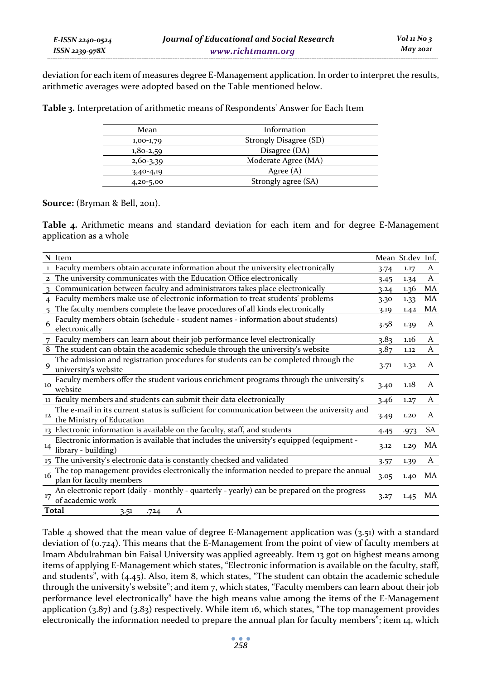deviation for each item of measures degree E-Management application. In order to interpret the results, arithmetic averages were adopted based on the Table mentioned below.

**Table 3.** Interpretation of arithmetic means of Respondents' Answer for Each Item

| Mean          | Information            |  |
|---------------|------------------------|--|
| $1,00-1,79$   | Strongly Disagree (SD) |  |
| $1,80-2,59$   | Disagree (DA)          |  |
| $2,60-3,39$   | Moderate Agree (MA)    |  |
| $3,40-4,19$   | Agree $(A)$            |  |
| $4,20 - 5,00$ | Strongly agree (SA)    |  |
|               |                        |  |

#### **Source:** (Bryman & Bell, 2011).

**Table 4.** Arithmetic means and standard deviation for each item and for degree E-Management application as a whole

|                   | N Item                                                                                                                   |      | Mean St.dev Inf. |    |
|-------------------|--------------------------------------------------------------------------------------------------------------------------|------|------------------|----|
|                   | 1 Faculty members obtain accurate information about the university electronically                                        | 3.74 | 1.17             | A  |
| $\overline{2}$    | The university communicates with the Education Office electronically                                                     | 3.45 | 1.34             | A  |
| $\mathbf{R}$      | Communication between faculty and administrators takes place electronically                                              | 3.24 | 1.36             | MA |
| $\overline{4}$    | Faculty members make use of electronic information to treat students' problems                                           | 3.30 | 1.33             | MA |
| $5^{\circ}$       | The faculty members complete the leave procedures of all kinds electronically                                            | 3.19 | 1.42             | MA |
| 6                 | Faculty members obtain (schedule - student names - information about students)<br>electronically                         | 3.58 | 1.39             | A  |
|                   | Faculty members can learn about their job performance level electronically                                               | 3.83 | 1.16             | A  |
|                   | 8 The student can obtain the academic schedule through the university's website                                          | 3.87 | 1.12             | A  |
| 9                 | The admission and registration procedures for students can be completed through the<br>university's website              | 3.71 | 1.32             | A  |
| 10                | Faculty members offer the student various enrichment programs through the university's<br>website                        | 3.40 | 1.18             | A  |
|                   | 11 faculty members and students can submit their data electronically                                                     | 3.46 | 1.27             | A  |
| $12 \overline{ }$ | The e-mail in its current status is sufficient for communication between the university and<br>the Ministry of Education | 3.49 | 1.20             | A  |
|                   | 13 Electronic information is available on the faculty, staff, and students                                               | 4.45 | .973             | SA |
| 14                | Electronic information is available that includes the university's equipped (equipment -<br>library - building)          | 3.12 | 1.29             | MA |
|                   | 15 The university's electronic data is constantly checked and validated                                                  | 3.57 | 1.39             | A  |
| 16                | The top management provides electronically the information needed to prepare the annual<br>plan for faculty members      | 3.05 | 1.40             | MA |
| 17                | An electronic report (daily - monthly - quarterly - yearly) can be prepared on the progress<br>of academic work          | 3.27 | 1.45             | MA |
|                   | Total<br>A<br>3.51<br>.724                                                                                               |      |                  |    |

Table 4 showed that the mean value of degree E-Management application was  $(3.51)$  with a standard deviation of (0.724). This means that the E-Management from the point of view of faculty members at Imam Abdulrahman bin Faisal University was applied agreeably. Item 13 got on highest means among items of applying E-Management which states, "Electronic information is available on the faculty, staff, and students", with (4.45). Also, item 8, which states, "The student can obtain the academic schedule through the university's website"; and item  $7$ , which states, "Faculty members can learn about their job performance level electronically" have the high means value among the items of the E-Management application (3.87) and (3.83) respectively. While item 16, which states, "The top management provides electronically the information needed to prepare the annual plan for faculty members"; item 14, which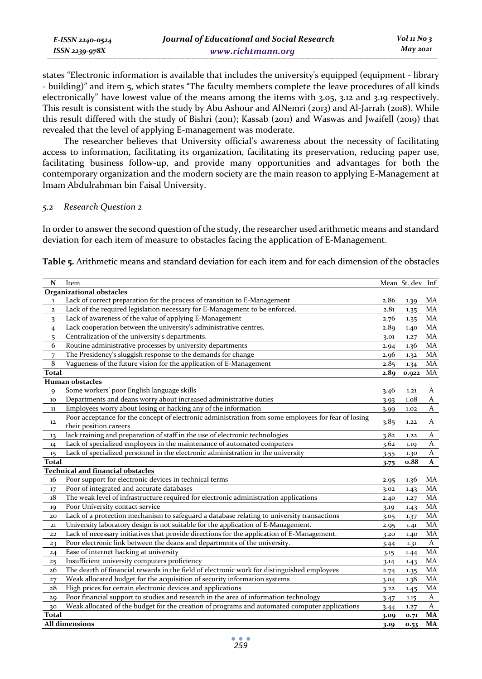| E-ISSN 2240-0524    | Journal of Educational and Social Research | $Vol_1N_0_3$ |
|---------------------|--------------------------------------------|--------------|
| $ISSN$ 2239-97 $8X$ | www.richtmann.org                          | May 2021     |

states "Electronic information is available that includes the university's equipped (equipment - library - building)" and item 5, which states "The faculty members complete the leave procedures of all kinds electronically" have lowest value of the means among the items with 3.05, 3.12 and 3.19 respectively. This result is consistent with the study by Abu Ashour and AlNemri (2013) and Al-Jarrah (2018). While this result differed with the study of Bishri (2011); Kassab (2011) and Waswas and Jwaifell (2019) that revealed that the level of applying E-management was moderate.

The researcher believes that University official's awareness about the necessity of facilitating access to information, facilitating its organization, facilitating its preservation, reducing paper use, facilitating business follow-up, and provide many opportunities and advantages for both the contemporary organization and the modern society are the main reason to applying E-Management at Imam Abdulrahman bin Faisal University.

#### *5.2 Research Question 2*

In order to answer the second question of the study, the researcher used arithmetic means and standard deviation for each item of measure to obstacles facing the application of E-Management.

**Table 5.** Arithmetic means and standard deviation for each item and for each dimension of the obstacles

| ${\bf N}$               | Item                                                                                                                          |      | Mean Stdev Inf |              |
|-------------------------|-------------------------------------------------------------------------------------------------------------------------------|------|----------------|--------------|
|                         | <b>Organizational obstacles</b>                                                                                               |      |                |              |
| $\mathbf 1$             | Lack of correct preparation for the process of transition to E-Management                                                     | 2.86 | 1.39           | MA           |
| $\overline{\mathbf{c}}$ | Lack of the required legislation necessary for E-Management to be enforced.                                                   | 2.81 | 1.35           | MA           |
| 3                       | Lack of awareness of the value of applying E-Management                                                                       | 2.76 | 1.35           | MA           |
| $\overline{4}$          | Lack cooperation between the university's administrative centres.                                                             | 2.89 | 1.40           | MA           |
| 5                       | Centralization of the university's departments.                                                                               | 3.01 | 1.27           | MA           |
| 6                       | Routine administrative processes by university departments                                                                    | 2.94 | 1.36           | MA           |
| $\overline{7}$          | The Presidency's sluggish response to the demands for change                                                                  | 2.96 | 1.32           | MA           |
| 8                       | Vagueness of the future vision for the application of E-Management                                                            | 2.85 | 1.34           | MA           |
| <b>Total</b>            |                                                                                                                               | 2.89 | 0.922          | MA           |
|                         | <b>Human obstacles</b>                                                                                                        |      |                |              |
| $\mathbf{Q}$            | Some workers' poor English language skills                                                                                    | 3.46 | 1.21           | A            |
| 10                      | Departments and deans worry about increased administrative duties                                                             | 3.93 | 1.08           | A            |
| $11$                    | Employees worry about losing or hacking any of the information                                                                | 3.99 | 1.02           | A            |
| 12                      | Poor acceptance for the concept of electronic administration from some employees for fear of losing<br>their position careers | 3.85 | 1.22           | A            |
| 13                      | lack training and preparation of staff in the use of electronic technologies                                                  | 3.82 | 1.22           | A            |
| 14                      | Lack of specialized employees in the maintenance of automated computers                                                       | 3.62 | 1.19           | A            |
| 15                      | Lack of specialized personnel in the electronic administration in the university                                              | 3.55 | 1.30           | A            |
| <b>Total</b>            |                                                                                                                               | 3.75 | o.88           | $\mathbf{A}$ |
|                         | <b>Technical and financial obstacles</b>                                                                                      |      |                |              |
| 16                      | Poor support for electronic devices in technical terms                                                                        | 2.95 | 1.36           | MA           |
| 17                      | Poor of integrated and accurate databases                                                                                     | 3.02 | 1.43           | MA           |
| 18                      | The weak level of infrastructure required for electronic administration applications                                          | 2.40 | 1.27           | MA           |
| 19                      | Poor University contact service                                                                                               | 3.19 | 1.43           | MA           |
| 20                      | Lack of a protection mechanism to safeguard a database relating to university transactions                                    | 3.05 | 1.37           | MA           |
| 21                      | University laboratory design is not suitable for the application of E-Management.                                             | 2.95 | 1.41           | MA           |
| 22                      | Lack of necessary initiatives that provide directions for the application of E-Management.                                    | 3.20 | 1.40           | MA           |
| 23                      | Poor electronic link between the deans and departments of the university.                                                     | 3.44 | 1.31           | A            |
| 24                      | Ease of internet hacking at university                                                                                        | 3.15 | 1.44           | MA           |
| 25                      | Insufficient university computers proficiency                                                                                 | 3.14 | 1.43           | MA           |
| 26                      | The dearth of financial rewards in the field of electronic work for distinguished employees                                   | 2.74 | 1.35           | MA           |
| 27                      | Weak allocated budget for the acquisition of security information systems                                                     | 3.04 | 1.38           | MA           |
| 28                      | High prices for certain electronic devices and applications                                                                   | 3.22 | 1.45           | MA           |
| 29                      | Poor financial support to studies and research in the area of information technology                                          | 3.47 | 1.15           | A            |
| 30                      | Weak allocated of the budget for the creation of programs and automated computer applications                                 | 3.44 | 1.27           | $\mathsf{A}$ |
| <b>Total</b>            |                                                                                                                               | 3.09 | 0.71           | MA           |
|                         | All dimensions                                                                                                                | 3.19 | 0.53           | MA           |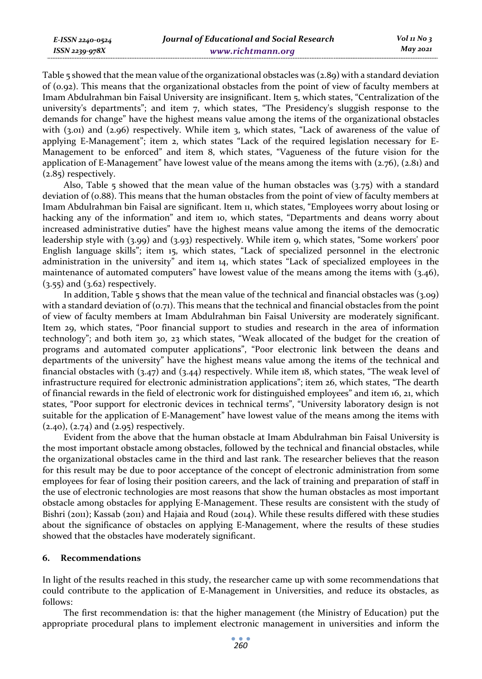Table 5 showed that the mean value of the organizational obstacles was (2.89) with a standard deviation of (0.92). This means that the organizational obstacles from the point of view of faculty members at Imam Abdulrahman bin Faisal University are insignificant. Item 5, which states, "Centralization of the university's departments"; and item 7, which states, "The Presidency's sluggish response to the demands for change" have the highest means value among the items of the organizational obstacles with (3.01) and (2.96) respectively. While item 3, which states, "Lack of awareness of the value of applying E-Management"; item 2, which states "Lack of the required legislation necessary for E-Management to be enforced" and item 8, which states, "Vagueness of the future vision for the application of E-Management" have lowest value of the means among the items with (2.76), (2.81) and (2.85) respectively.

Also, Table 5 showed that the mean value of the human obstacles was  $(3.75)$  with a standard deviation of (0.88). This means that the human obstacles from the point of view of faculty members at Imam Abdulrahman bin Faisal are significant. Item 11, which states, "Employees worry about losing or hacking any of the information" and item 10, which states, "Departments and deans worry about increased administrative duties" have the highest means value among the items of the democratic leadership style with (3.99) and (3.93) respectively. While item 9, which states, "Some workers' poor English language skills"; item 15, which states, "Lack of specialized personnel in the electronic administration in the university" and item 14, which states "Lack of specialized employees in the maintenance of automated computers" have lowest value of the means among the items with (3.46),  $(3.55)$  and  $(3.62)$  respectively.

In addition, Table 5 shows that the mean value of the technical and financial obstacles was (3.09) with a standard deviation of  $(0.71)$ . This means that the technical and financial obstacles from the point of view of faculty members at Imam Abdulrahman bin Faisal University are moderately significant. Item 29, which states, "Poor financial support to studies and research in the area of information technology"; and both item 30, 23 which states, "Weak allocated of the budget for the creation of programs and automated computer applications", "Poor electronic link between the deans and departments of the university" have the highest means value among the items of the technical and financial obstacles with (3.47) and (3.44) respectively. While item 18, which states, "The weak level of infrastructure required for electronic administration applications"; item 26, which states, "The dearth of financial rewards in the field of electronic work for distinguished employees" and item 16, 21, which states, "Poor support for electronic devices in technical terms", "University laboratory design is not suitable for the application of E-Management" have lowest value of the means among the items with  $(2.40)$ ,  $(2.74)$  and  $(2.95)$  respectively.

Evident from the above that the human obstacle at Imam Abdulrahman bin Faisal University is the most important obstacle among obstacles, followed by the technical and financial obstacles, while the organizational obstacles came in the third and last rank. The researcher believes that the reason for this result may be due to poor acceptance of the concept of electronic administration from some employees for fear of losing their position careers, and the lack of training and preparation of staff in the use of electronic technologies are most reasons that show the human obstacles as most important obstacle among obstacles for applying E-Management. These results are consistent with the study of Bishri (2011); Kassab (2011) and Hajaia and Roud (2014). While these results differed with these studies about the significance of obstacles on applying E-Management, where the results of these studies showed that the obstacles have moderately significant.

#### **6. Recommendations**

*E-ISSN 2240-0524 ISSN 2239-978X*

In light of the results reached in this study, the researcher came up with some recommendations that could contribute to the application of E-Management in Universities, and reduce its obstacles, as follows:

The first recommendation is: that the higher management (the Ministry of Education) put the appropriate procedural plans to implement electronic management in universities and inform the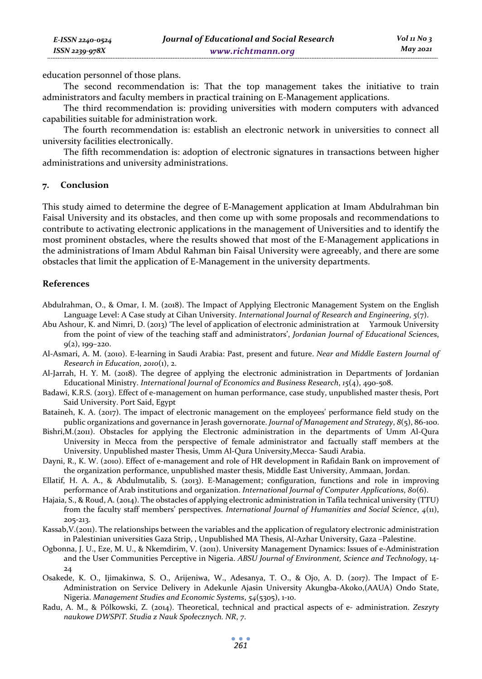education personnel of those plans.

The second recommendation is: That the top management takes the initiative to train administrators and faculty members in practical training on E-Management applications.

The third recommendation is: providing universities with modern computers with advanced capabilities suitable for administration work.

The fourth recommendation is: establish an electronic network in universities to connect all university facilities electronically.

The fifth recommendation is: adoption of electronic signatures in transactions between higher administrations and university administrations.

#### **7. Conclusion**

*E-ISSN 2240-0524 ISSN 2239-978X*

This study aimed to determine the degree of E-Management application at Imam Abdulrahman bin Faisal University and its obstacles, and then come up with some proposals and recommendations to contribute to activating electronic applications in the management of Universities and to identify the most prominent obstacles, where the results showed that most of the E-Management applications in the administrations of Imam Abdul Rahman bin Faisal University were agreeably, and there are some obstacles that limit the application of E-Management in the university departments.

#### **References**

- Abdulrahman, O., & Omar, I. M. (2018). The Impact of Applying Electronic Management System on the English Language Level: A Case study at Cihan University. *International Journal of Research and Engineering*, *5*(7).
- Abu Ashour, K. and Nimri, D. (2013) 'The level of application of electronic administration at Yarmouk University from the point of view of the teaching staff and administrators', *Jordanian Journal of Educational Sciences*, 9(2), 199–220.
- Al-Asmari, A. M. (2010). E-learning in Saudi Arabia: Past, present and future. *Near and Middle Eastern Journal of Research in Education*, *2010*(1), 2.
- Al-Jarrah, H. Y. M. (2018). The degree of applying the electronic administration in Departments of Jordanian Educational Ministry. *International Journal of Economics and Business Research*, *15*(4), 490-508.
- Badawi, K.R.S. (2013). Effect of e-management on human performance, case study, unpublished master thesis, Port Said University. Port Said, Egypt
- Bataineh, K. A. (2017). The impact of electronic management on the employees' performance field study on the public organizations and governance in Jerash governorate. *Journal of Management and Strategy*, *8*(5), 86-100.
- Bishri,M.(2011). Obstacles for applying the Electronic administration in the departments of Umm Al-Qura University in Mecca from the perspective of female administrator and factually staff members at the University. Unpublished master Thesis, Umm Al-Qura University,Mecca- Saudi Arabia.
- Dayni, R., K. W. (2010). Effect of e-management and role of HR development in Rafidain Bank on improvement of the organization performance, unpublished master thesis, Middle East University, Ammaan, Jordan.
- Ellatif, H. A. A., & Abdulmutalib, S. (2013). E-Management; configuration, functions and role in improving performance of Arab institutions and organization. *International Journal of Computer Applications*, *80*(6).
- Hajaia, S., & Roud, A. (2014). The obstacles of applying electronic administration in Tafila technical university (TTU) from the faculty staff members' perspectives. *International Journal of Humanities and Social Science*, *4*(11), 205-213.
- Kassab,V.(2011). The relationships between the variables and the application of regulatory electronic administration in Palestinian universities Gaza Strip, , Unpublished MA Thesis, Al-Azhar University, Gaza –Palestine.
- Ogbonna, J. U., Eze, M. U., & Nkemdirim, V. (2011). University Management Dynamics: Issues of e-Administration and the User Communities Perceptive in Nigeria. *ABSU Journal of Environment, Science and Technology*, 14- 24
- Osakede, K. O., Ijimakinwa, S. O., Arijeniwa, W., Adesanya, T. O., & Ojo, A. D. (2017). The Impact of E-Administration on Service Delivery in Adekunle Ajasin University Akungba-Akoko,(AAUA) Ondo State, Nigeria. *Management Studies and Economic Systems*, *54*(5305), 1-10.
- Radu, A. M., & Pólkowski, Z. (2014). Theoretical, technical and practical aspects of e- administration. *Zeszyty naukowe DWSPiT. Studia z Nauk Społecznych. NR*, *7*.